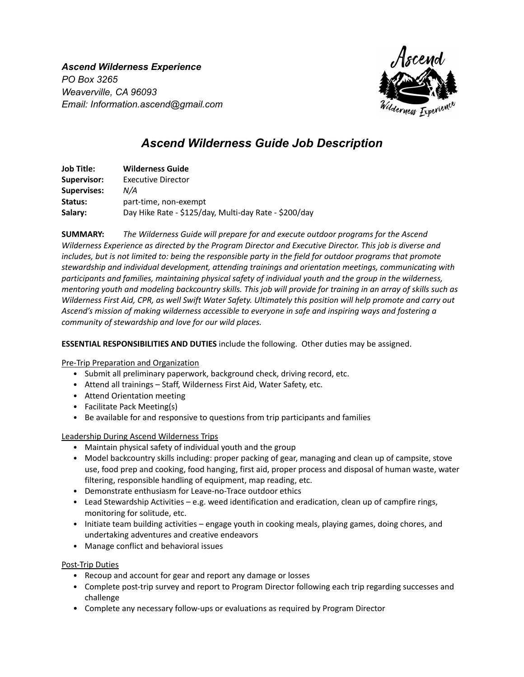*Ascend Wilderness Experience PO Box 3265 Weaverville, CA 96093 Email: Information.ascend@gmail.com*



# *Ascend Wilderness Guide Job Description*

| <b>Job Title:</b> | <b>Wilderness Guide</b>                               |
|-------------------|-------------------------------------------------------|
| Supervisor:       | <b>Executive Director</b>                             |
| Supervises:       | N/A                                                   |
| Status:           | part-time, non-exempt                                 |
| Salary:           | Day Hike Rate - \$125/day, Multi-day Rate - \$200/day |

**SUMMARY:** *The Wilderness Guide will prepare for and execute outdoor programs for the Ascend Wilderness Experience as directed by the Program Director and Executive Director. This job is diverse and includes, but is not limited to: being the responsible party in the field for outdoor programs that promote stewardship and individual development, attending trainings and orientation meetings, communicating with participants and families, maintaining physical safety of individual youth and the group in the wilderness, mentoring youth and modeling backcountry skills. This job will provide for training in an array of skills such as Wilderness First Aid, CPR, as well Swift Water Safety. Ultimately this position will help promote and carry out Ascend's mission of making wilderness accessible to everyone in safe and inspiring ways and fostering a community of stewardship and love for our wild places.*

**ESSENTIAL RESPONSIBILITIES AND DUTIES** include the following. Other duties may be assigned.

Pre-Trip Preparation and Organization

- Submit all preliminary paperwork, background check, driving record, etc.
- Attend all trainings Staff, Wilderness First Aid, Water Safety, etc.
- Attend Orientation meeting
- Facilitate Pack Meeting(s)
- Be available for and responsive to questions from trip participants and families

Leadership During Ascend Wilderness Trips

- Maintain physical safety of individual youth and the group
- Model backcountry skills including: proper packing of gear, managing and clean up of campsite, stove use, food prep and cooking, food hanging, first aid, proper process and disposal of human waste, water filtering, responsible handling of equipment, map reading, etc.
- Demonstrate enthusiasm for Leave-no-Trace outdoor ethics
- Lead Stewardship Activities e.g. weed identification and eradication, clean up of campfire rings, monitoring for solitude, etc.
- Initiate team building activities engage youth in cooking meals, playing games, doing chores, and undertaking adventures and creative endeavors
- Manage conflict and behavioral issues

## Post-Trip Duties

- Recoup and account for gear and report any damage or losses
- Complete post-trip survey and report to Program Director following each trip regarding successes and challenge
- Complete any necessary follow-ups or evaluations as required by Program Director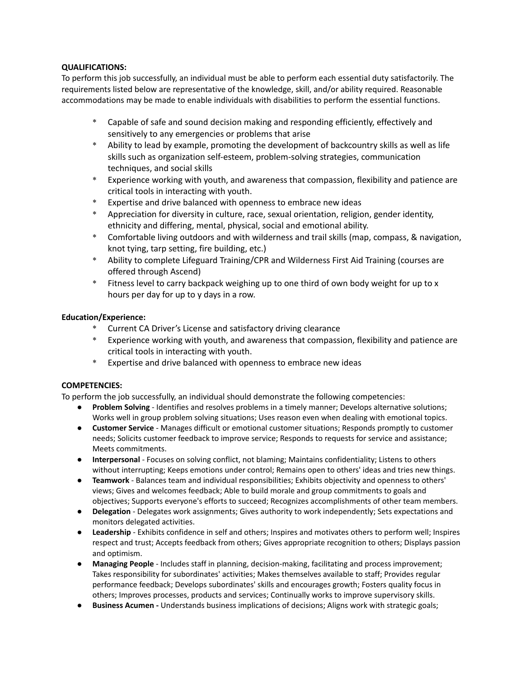#### **QUALIFICATIONS:**

To perform this job successfully, an individual must be able to perform each essential duty satisfactorily. The requirements listed below are representative of the knowledge, skill, and/or ability required. Reasonable accommodations may be made to enable individuals with disabilities to perform the essential functions.

- \* Capable of safe and sound decision making and responding efficiently, effectively and sensitively to any emergencies or problems that arise
- \* Ability to lead by example, promoting the development of backcountry skills as well as life skills such as organization self-esteem, problem-solving strategies, communication techniques, and social skills
- \* Experience working with youth, and awareness that compassion, flexibility and patience are critical tools in interacting with youth.
- \* Expertise and drive balanced with openness to embrace new ideas
- \* Appreciation for diversity in culture, race, sexual orientation, religion, gender identity, ethnicity and differing, mental, physical, social and emotional ability.
- \* Comfortable living outdoors and with wilderness and trail skills (map, compass, & navigation, knot tying, tarp setting, fire building, etc.)
- \* Ability to complete Lifeguard Training/CPR and Wilderness First Aid Training (courses are offered through Ascend)
- \* Fitness level to carry backpack weighing up to one third of own body weight for up to x hours per day for up to y days in a row.

### **Education/Experience:**

- Current CA Driver's License and satisfactory driving clearance
- \* Experience working with youth, and awareness that compassion, flexibility and patience are critical tools in interacting with youth.
- \* Expertise and drive balanced with openness to embrace new ideas

#### **COMPETENCIES:**

To perform the job successfully, an individual should demonstrate the following competencies:

- **Problem Solving** Identifies and resolves problems in a timely manner; Develops alternative solutions; Works well in group problem solving situations; Uses reason even when dealing with emotional topics.
- **Customer Service** Manages difficult or emotional customer situations; Responds promptly to customer needs; Solicits customer feedback to improve service; Responds to requests for service and assistance; Meets commitments.
- **Interpersonal** Focuses on solving conflict, not blaming; Maintains confidentiality; Listens to others without interrupting; Keeps emotions under control; Remains open to others' ideas and tries new things.
- **Teamwork** Balances team and individual responsibilities; Exhibits objectivity and openness to others' views; Gives and welcomes feedback; Able to build morale and group commitments to goals and objectives; Supports everyone's efforts to succeed; Recognizes accomplishments of other team members.
- **Delegation** Delegates work assignments; Gives authority to work independently; Sets expectations and monitors delegated activities.
- **Leadership** Exhibits confidence in self and others; Inspires and motivates others to perform well; Inspires respect and trust; Accepts feedback from others; Gives appropriate recognition to others; Displays passion and optimism.
- **Managing People** Includes staff in planning, decision-making, facilitating and process improvement; Takes responsibility for subordinates' activities; Makes themselves available to staff; Provides regular performance feedback; Develops subordinates' skills and encourages growth; Fosters quality focus in others; Improves processes, products and services; Continually works to improve supervisory skills.
- **Business Acumen -** Understands business implications of decisions; Aligns work with strategic goals;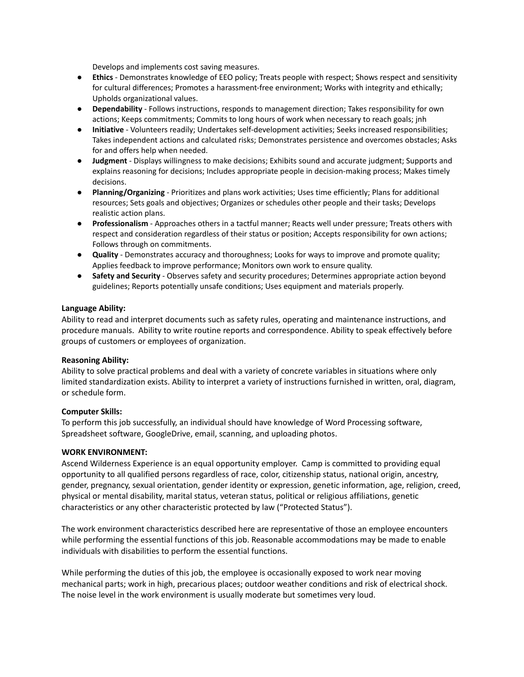Develops and implements cost saving measures.

- **Ethics** Demonstrates knowledge of EEO policy; Treats people with respect; Shows respect and sensitivity for cultural differences; Promotes a harassment-free environment; Works with integrity and ethically; Upholds organizational values.
- **Dependability** Follows instructions, responds to management direction; Takes responsibility for own actions; Keeps commitments; Commits to long hours of work when necessary to reach goals; jnh
- **Initiative** Volunteers readily; Undertakes self-development activities; Seeks increased responsibilities; Takes independent actions and calculated risks; Demonstrates persistence and overcomes obstacles; Asks for and offers help when needed.
- **Judgment** Displays willingness to make decisions; Exhibits sound and accurate judgment; Supports and explains reasoning for decisions; Includes appropriate people in decision-making process; Makes timely decisions.
- **Planning/Organizing** Prioritizes and plans work activities; Uses time efficiently; Plans for additional resources; Sets goals and objectives; Organizes or schedules other people and their tasks; Develops realistic action plans.
- **Professionalism** Approaches others in a tactful manner; Reacts well under pressure; Treats others with respect and consideration regardless of their status or position; Accepts responsibility for own actions; Follows through on commitments.
- **Quality** Demonstrates accuracy and thoroughness; Looks for ways to improve and promote quality; Applies feedback to improve performance; Monitors own work to ensure quality.
- **Safety and Security** Observes safety and security procedures; Determines appropriate action beyond guidelines; Reports potentially unsafe conditions; Uses equipment and materials properly.

#### **Language Ability:**

Ability to read and interpret documents such as safety rules, operating and maintenance instructions, and procedure manuals. Ability to write routine reports and correspondence. Ability to speak effectively before groups of customers or employees of organization.

#### **Reasoning Ability:**

Ability to solve practical problems and deal with a variety of concrete variables in situations where only limited standardization exists. Ability to interpret a variety of instructions furnished in written, oral, diagram, or schedule form.

#### **Computer Skills:**

To perform this job successfully, an individual should have knowledge of Word Processing software, Spreadsheet software, GoogleDrive, email, scanning, and uploading photos.

#### **WORK ENVIRONMENT:**

Ascend Wilderness Experience is an equal opportunity employer. Camp is committed to providing equal opportunity to all qualified persons regardless of race, color, citizenship status, national origin, ancestry, gender, pregnancy, sexual orientation, gender identity or expression, genetic information, age, religion, creed, physical or mental disability, marital status, veteran status, political or religious affiliations, genetic characteristics or any other characteristic protected by law ("Protected Status").

The work environment characteristics described here are representative of those an employee encounters while performing the essential functions of this job. Reasonable accommodations may be made to enable individuals with disabilities to perform the essential functions.

While performing the duties of this job, the employee is occasionally exposed to work near moving mechanical parts; work in high, precarious places; outdoor weather conditions and risk of electrical shock. The noise level in the work environment is usually moderate but sometimes very loud.